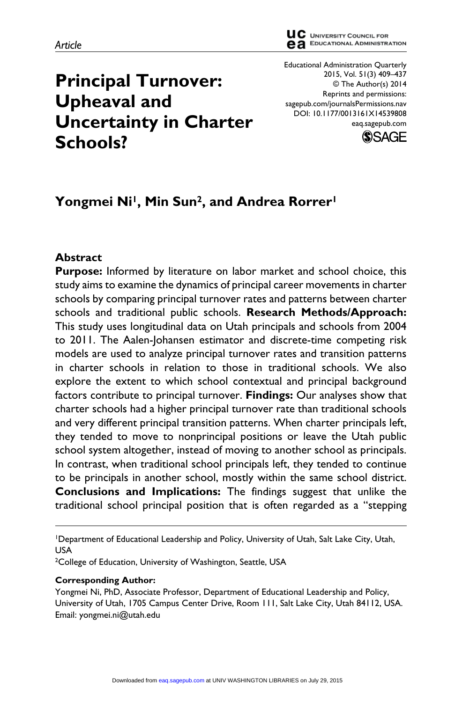**UC** UNIVERSITY COUNCIL FOR ea EDUCATIONAL ADMINISTRATION

# **Principal Turnover: Upheaval and Uncertainty in Charter Schools?**

Educational Administration Quarterly 2015, Vol. 51(3) 409–437 © The Author(s) 2014 Reprints and permissions: sagepub.com/journalsPermissions.nav DOI: 10.1177/0013161X14539808 eaq.sagepub.com



## Yongmei Ni<sup>1</sup>, Min Sun<sup>2</sup>, and Andrea Rorrer<sup>1</sup>

#### **Abstract**

**Purpose:** Informed by literature on labor market and school choice, this study aims to examine the dynamics of principal career movements in charter schools by comparing principal turnover rates and patterns between charter schools and traditional public schools. **Research Methods/Approach:** This study uses longitudinal data on Utah principals and schools from 2004 to 2011. The Aalen-Johansen estimator and discrete-time competing risk models are used to analyze principal turnover rates and transition patterns in charter schools in relation to those in traditional schools. We also explore the extent to which school contextual and principal background factors contribute to principal turnover. **Findings:** Our analyses show that charter schools had a higher principal turnover rate than traditional schools and very different principal transition patterns. When charter principals left, they tended to move to nonprincipal positions or leave the Utah public school system altogether, instead of moving to another school as principals. In contrast, when traditional school principals left, they tended to continue to be principals in another school, mostly within the same school district. **Conclusions and Implications:** The findings suggest that unlike the traditional school principal position that is often regarded as a "stepping

#### **Corresponding Author:**

<sup>1</sup>Department of Educational Leadership and Policy, University of Utah, Salt Lake City, Utah, USA

<sup>&</sup>lt;sup>2</sup>College of Education, University of Washington, Seattle, USA

Yongmei Ni, PhD, Associate Professor, Department of Educational Leadership and Policy, University of Utah, 1705 Campus Center Drive, Room 111, Salt Lake City, Utah 84112, USA. Email: [yongmei.ni@utah.edu](mailto:yongmei.ni@utah.edu)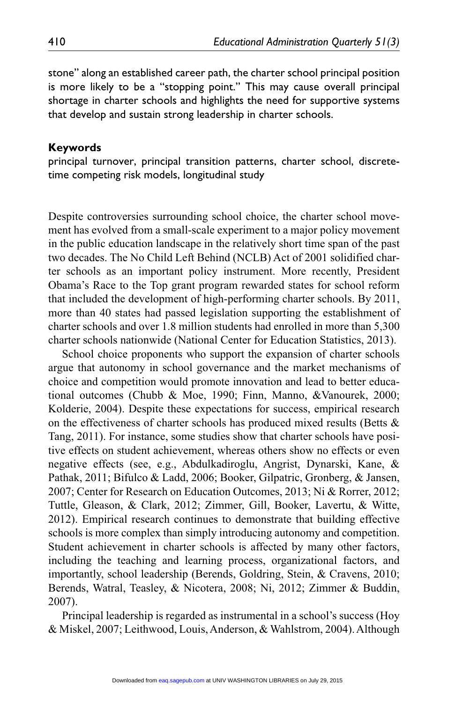stone" along an established career path, the charter school principal position is more likely to be a "stopping point." This may cause overall principal shortage in charter schools and highlights the need for supportive systems that develop and sustain strong leadership in charter schools.

#### **Keywords**

principal turnover, principal transition patterns, charter school, discretetime competing risk models, longitudinal study

Despite controversies surrounding school choice, the charter school movement has evolved from a small-scale experiment to a major policy movement in the public education landscape in the relatively short time span of the past two decades. The No Child Left Behind (NCLB) Act of 2001 solidified charter schools as an important policy instrument. More recently, President Obama's Race to the Top grant program rewarded states for school reform that included the development of high-performing charter schools. By 2011, more than 40 states had passed legislation supporting the establishment of charter schools and over 1.8 million students had enrolled in more than 5,300 charter schools nationwide (National Center for Education Statistics, 2013).

School choice proponents who support the expansion of charter schools argue that autonomy in school governance and the market mechanisms of choice and competition would promote innovation and lead to better educational outcomes (Chubb & Moe, 1990; Finn, Manno, &Vanourek, 2000; Kolderie, 2004). Despite these expectations for success, empirical research on the effectiveness of charter schools has produced mixed results (Betts & Tang, 2011). For instance, some studies show that charter schools have positive effects on student achievement, whereas others show no effects or even negative effects (see, e.g., Abdulkadiroglu, Angrist, Dynarski, Kane, & Pathak, 2011; Bifulco & Ladd, 2006; Booker, Gilpatric, Gronberg, & Jansen, 2007; Center for Research on Education Outcomes, 2013; Ni & Rorrer, 2012; Tuttle, Gleason, & Clark, 2012; Zimmer, Gill, Booker, Lavertu, & Witte, 2012). Empirical research continues to demonstrate that building effective schools is more complex than simply introducing autonomy and competition. Student achievement in charter schools is affected by many other factors, including the teaching and learning process, organizational factors, and importantly, school leadership (Berends, Goldring, Stein, & Cravens, 2010; Berends, Watral, Teasley, & Nicotera, 2008; Ni, 2012; Zimmer & Buddin, 2007).

Principal leadership is regarded as instrumental in a school's success (Hoy & Miskel, 2007; Leithwood, Louis, Anderson, & Wahlstrom, 2004). Although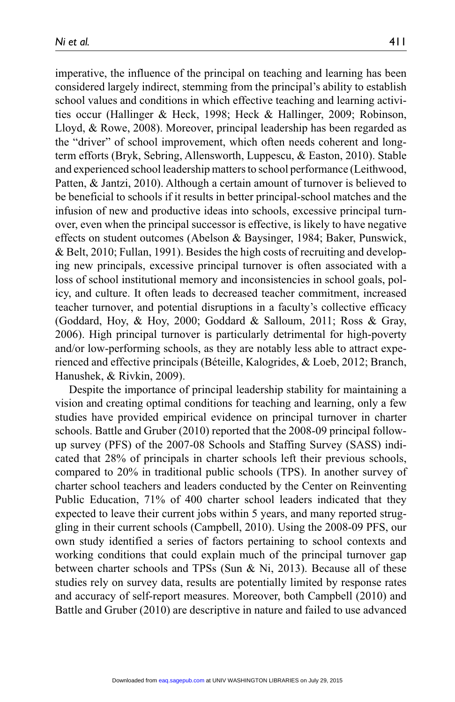imperative, the influence of the principal on teaching and learning has been considered largely indirect, stemming from the principal's ability to establish school values and conditions in which effective teaching and learning activities occur (Hallinger & Heck, 1998; Heck & Hallinger, 2009; Robinson, Lloyd, & Rowe, 2008). Moreover, principal leadership has been regarded as the "driver" of school improvement, which often needs coherent and longterm efforts (Bryk, Sebring, Allensworth, Luppescu, & Easton, 2010). Stable and experienced school leadership matters to school performance (Leithwood, Patten, & Jantzi, 2010). Although a certain amount of turnover is believed to be beneficial to schools if it results in better principal-school matches and the infusion of new and productive ideas into schools, excessive principal turnover, even when the principal successor is effective, is likely to have negative effects on student outcomes (Abelson & Baysinger, 1984; Baker, Punswick, & Belt, 2010; Fullan, 1991). Besides the high costs of recruiting and developing new principals, excessive principal turnover is often associated with a loss of school institutional memory and inconsistencies in school goals, policy, and culture. It often leads to decreased teacher commitment, increased teacher turnover, and potential disruptions in a faculty's collective efficacy (Goddard, Hoy, & Hoy, 2000; Goddard & Salloum, 2011; Ross & Gray, 2006). High principal turnover is particularly detrimental for high-poverty and/or low-performing schools, as they are notably less able to attract experienced and effective principals (Béteille, Kalogrides, & Loeb, 2012; Branch, Hanushek, & Rivkin, 2009).

Despite the importance of principal leadership stability for maintaining a vision and creating optimal conditions for teaching and learning, only a few studies have provided empirical evidence on principal turnover in charter schools. Battle and Gruber (2010) reported that the 2008-09 principal followup survey (PFS) of the 2007-08 Schools and Staffing Survey (SASS) indicated that 28% of principals in charter schools left their previous schools, compared to 20% in traditional public schools (TPS). In another survey of charter school teachers and leaders conducted by the Center on Reinventing Public Education, 71% of 400 charter school leaders indicated that they expected to leave their current jobs within 5 years, and many reported struggling in their current schools (Campbell, 2010). Using the 2008-09 PFS, our own study identified a series of factors pertaining to school contexts and working conditions that could explain much of the principal turnover gap between charter schools and TPSs (Sun & Ni, 2013). Because all of these studies rely on survey data, results are potentially limited by response rates and accuracy of self-report measures. Moreover, both Campbell (2010) and Battle and Gruber (2010) are descriptive in nature and failed to use advanced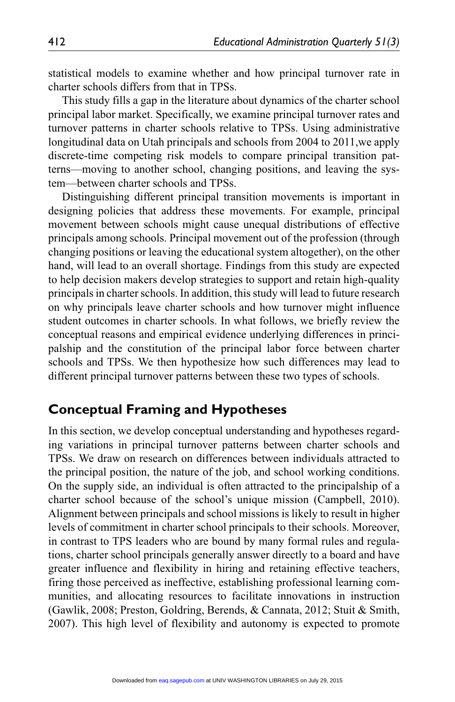statistical models to examine whether and how principal turnover rate in charter schools differs from that in TPSs.

This study fills a gap in the literature about dynamics of the charter school principal labor market. Specifically, we examine principal turnover rates and turnover patterns in charter schools relative to TPSs. Using administrative longitudinal data on Utah principals and schools from 2004 to 2011,we apply discrete-time competing risk models to compare principal transition patterns—moving to another school, changing positions, and leaving the system—between charter schools and TPSs.

Distinguishing different principal transition movements is important in designing policies that address these movements. For example, principal movement between schools might cause unequal distributions of effective principals among schools. Principal movement out of the profession (through changing positions or leaving the educational system altogether), on the other hand, will lead to an overall shortage. Findings from this study are expected to help decision makers develop strategies to support and retain high-quality principals in charter schools. In addition, this study will lead to future research on why principals leave charter schools and how turnover might influence student outcomes in charter schools. In what follows, we briefly review the conceptual reasons and empirical evidence underlying differences in principalship and the constitution of the principal labor force between charter schools and TPSs. We then hypothesize how such differences may lead to different principal turnover patterns between these two types of schools.

### **Conceptual Framing and Hypotheses**

In this section, we develop conceptual understanding and hypotheses regarding variations in principal turnover patterns between charter schools and TPSs. We draw on research on differences between individuals attracted to the principal position, the nature of the job, and school working conditions. On the supply side, an individual is often attracted to the principalship of a charter school because of the school's unique mission (Campbell, 2010). Alignment between principals and school missions is likely to result in higher levels of commitment in charter school principals to their schools. Moreover, in contrast to TPS leaders who are bound by many formal rules and regulations, charter school principals generally answer directly to a board and have greater influence and flexibility in hiring and retaining effective teachers, firing those perceived as ineffective, establishing professional learning communities, and allocating resources to facilitate innovations in instruction (Gawlik, 2008; Preston, Goldring, Berends, & Cannata, 2012; Stuit & Smith, 2007). This high level of flexibility and autonomy is expected to promote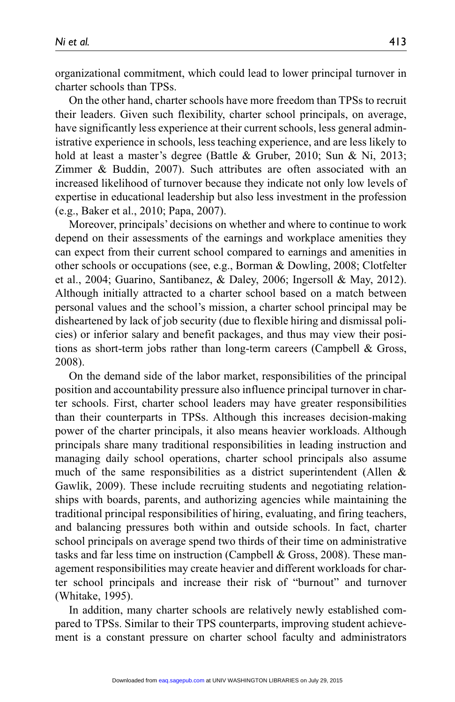organizational commitment, which could lead to lower principal turnover in charter schools than TPSs.

On the other hand, charter schools have more freedom than TPSs to recruit their leaders. Given such flexibility, charter school principals, on average, have significantly less experience at their current schools, less general administrative experience in schools, less teaching experience, and are less likely to hold at least a master's degree (Battle & Gruber, 2010; Sun & Ni, 2013; Zimmer & Buddin, 2007). Such attributes are often associated with an increased likelihood of turnover because they indicate not only low levels of expertise in educational leadership but also less investment in the profession (e.g., Baker et al., 2010; Papa, 2007).

Moreover, principals' decisions on whether and where to continue to work depend on their assessments of the earnings and workplace amenities they can expect from their current school compared to earnings and amenities in other schools or occupations (see, e.g., Borman & Dowling, 2008; Clotfelter et al., 2004; Guarino, Santibanez, & Daley, 2006; Ingersoll & May, 2012). Although initially attracted to a charter school based on a match between personal values and the school's mission, a charter school principal may be disheartened by lack of job security (due to flexible hiring and dismissal policies) or inferior salary and benefit packages, and thus may view their positions as short-term jobs rather than long-term careers (Campbell & Gross, 2008).

On the demand side of the labor market, responsibilities of the principal position and accountability pressure also influence principal turnover in charter schools. First, charter school leaders may have greater responsibilities than their counterparts in TPSs. Although this increases decision-making power of the charter principals, it also means heavier workloads. Although principals share many traditional responsibilities in leading instruction and managing daily school operations, charter school principals also assume much of the same responsibilities as a district superintendent (Allen & Gawlik, 2009). These include recruiting students and negotiating relationships with boards, parents, and authorizing agencies while maintaining the traditional principal responsibilities of hiring, evaluating, and firing teachers, and balancing pressures both within and outside schools. In fact, charter school principals on average spend two thirds of their time on administrative tasks and far less time on instruction (Campbell & Gross, 2008). These management responsibilities may create heavier and different workloads for charter school principals and increase their risk of "burnout" and turnover (Whitake, 1995).

In addition, many charter schools are relatively newly established compared to TPSs. Similar to their TPS counterparts, improving student achievement is a constant pressure on charter school faculty and administrators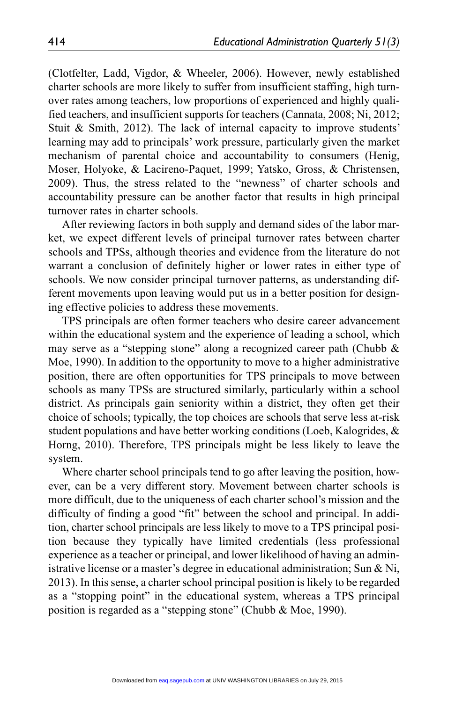(Clotfelter, Ladd, Vigdor, & Wheeler, 2006). However, newly established charter schools are more likely to suffer from insufficient staffing, high turnover rates among teachers, low proportions of experienced and highly qualified teachers, and insufficient supports for teachers (Cannata, 2008; Ni, 2012; Stuit & Smith, 2012). The lack of internal capacity to improve students' learning may add to principals' work pressure, particularly given the market mechanism of parental choice and accountability to consumers (Henig, Moser, Holyoke, & Lacireno-Paquet, 1999; Yatsko, Gross, & Christensen, 2009). Thus, the stress related to the "newness" of charter schools and accountability pressure can be another factor that results in high principal turnover rates in charter schools.

After reviewing factors in both supply and demand sides of the labor market, we expect different levels of principal turnover rates between charter schools and TPSs, although theories and evidence from the literature do not warrant a conclusion of definitely higher or lower rates in either type of schools. We now consider principal turnover patterns, as understanding different movements upon leaving would put us in a better position for designing effective policies to address these movements.

TPS principals are often former teachers who desire career advancement within the educational system and the experience of leading a school, which may serve as a "stepping stone" along a recognized career path (Chubb & Moe, 1990). In addition to the opportunity to move to a higher administrative position, there are often opportunities for TPS principals to move between schools as many TPSs are structured similarly, particularly within a school district. As principals gain seniority within a district, they often get their choice of schools; typically, the top choices are schools that serve less at-risk student populations and have better working conditions (Loeb, Kalogrides, & Horng, 2010). Therefore, TPS principals might be less likely to leave the system.

Where charter school principals tend to go after leaving the position, however, can be a very different story. Movement between charter schools is more difficult, due to the uniqueness of each charter school's mission and the difficulty of finding a good "fit" between the school and principal. In addition, charter school principals are less likely to move to a TPS principal position because they typically have limited credentials (less professional experience as a teacher or principal, and lower likelihood of having an administrative license or a master's degree in educational administration; Sun & Ni, 2013). In this sense, a charter school principal position is likely to be regarded as a "stopping point" in the educational system, whereas a TPS principal position is regarded as a "stepping stone" (Chubb & Moe, 1990).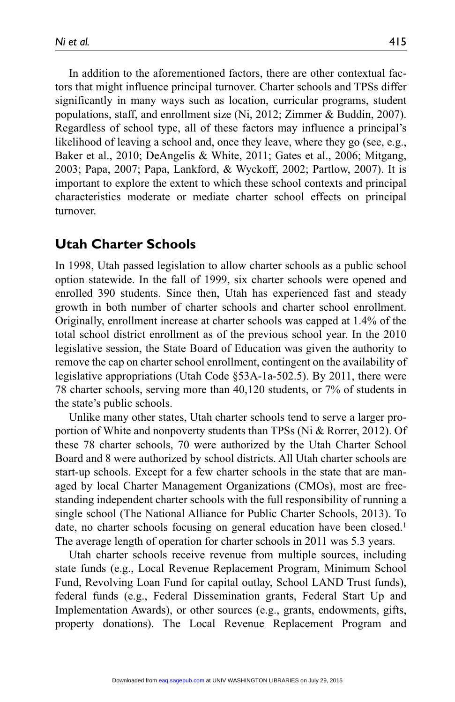In addition to the aforementioned factors, there are other contextual factors that might influence principal turnover. Charter schools and TPSs differ significantly in many ways such as location, curricular programs, student populations, staff, and enrollment size (Ni, 2012; Zimmer & Buddin, 2007). Regardless of school type, all of these factors may influence a principal's likelihood of leaving a school and, once they leave, where they go (see, e.g., Baker et al., 2010; DeAngelis & White, 2011; Gates et al., 2006; Mitgang, 2003; Papa, 2007; Papa, Lankford, & Wyckoff, 2002; Partlow, 2007). It is important to explore the extent to which these school contexts and principal characteristics moderate or mediate charter school effects on principal turnover.

#### **Utah Charter Schools**

In 1998, Utah passed legislation to allow charter schools as a public school option statewide. In the fall of 1999, six charter schools were opened and enrolled 390 students. Since then, Utah has experienced fast and steady growth in both number of charter schools and charter school enrollment. Originally, enrollment increase at charter schools was capped at 1.4% of the total school district enrollment as of the previous school year. In the 2010 legislative session, the State Board of Education was given the authority to remove the cap on charter school enrollment, contingent on the availability of legislative appropriations (Utah Code §53A-1a-502.5). By 2011, there were 78 charter schools, serving more than 40,120 students, or 7% of students in the state's public schools.

Unlike many other states, Utah charter schools tend to serve a larger proportion of White and nonpoverty students than TPSs (Ni & Rorrer, 2012). Of these 78 charter schools, 70 were authorized by the Utah Charter School Board and 8 were authorized by school districts. All Utah charter schools are start-up schools. Except for a few charter schools in the state that are managed by local Charter Management Organizations (CMOs), most are freestanding independent charter schools with the full responsibility of running a single school (The National Alliance for Public Charter Schools, 2013). To date, no charter schools focusing on general education have been closed.<sup>1</sup> The average length of operation for charter schools in 2011 was 5.3 years.

Utah charter schools receive revenue from multiple sources, including state funds (e.g., Local Revenue Replacement Program, Minimum School Fund, Revolving Loan Fund for capital outlay, School LAND Trust funds), federal funds (e.g., Federal Dissemination grants, Federal Start Up and Implementation Awards), or other sources (e.g., grants, endowments, gifts, property donations). The Local Revenue Replacement Program and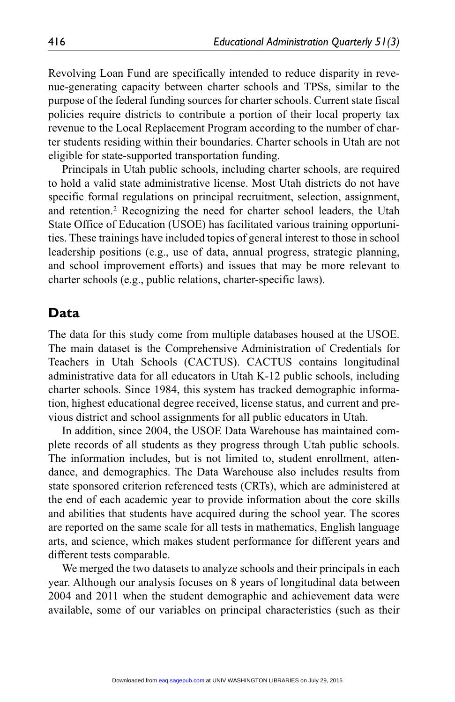Revolving Loan Fund are specifically intended to reduce disparity in revenue-generating capacity between charter schools and TPSs, similar to the purpose of the federal funding sources for charter schools. Current state fiscal policies require districts to contribute a portion of their local property tax revenue to the Local Replacement Program according to the number of charter students residing within their boundaries. Charter schools in Utah are not eligible for state-supported transportation funding.

Principals in Utah public schools, including charter schools, are required to hold a valid state administrative license. Most Utah districts do not have specific formal regulations on principal recruitment, selection, assignment, and retention.2 Recognizing the need for charter school leaders, the Utah State Office of Education (USOE) has facilitated various training opportunities. These trainings have included topics of general interest to those in school leadership positions (e.g., use of data, annual progress, strategic planning, and school improvement efforts) and issues that may be more relevant to charter schools (e.g., public relations, charter-specific laws).

#### **Data**

The data for this study come from multiple databases housed at the USOE. The main dataset is the Comprehensive Administration of Credentials for Teachers in Utah Schools (CACTUS). CACTUS contains longitudinal administrative data for all educators in Utah K-12 public schools, including charter schools. Since 1984, this system has tracked demographic information, highest educational degree received, license status, and current and previous district and school assignments for all public educators in Utah.

In addition, since 2004, the USOE Data Warehouse has maintained complete records of all students as they progress through Utah public schools. The information includes, but is not limited to, student enrollment, attendance, and demographics. The Data Warehouse also includes results from state sponsored criterion referenced tests (CRTs), which are administered at the end of each academic year to provide information about the core skills and abilities that students have acquired during the school year. The scores are reported on the same scale for all tests in mathematics, English language arts, and science, which makes student performance for different years and different tests comparable.

We merged the two datasets to analyze schools and their principals in each year. Although our analysis focuses on 8 years of longitudinal data between 2004 and 2011 when the student demographic and achievement data were available, some of our variables on principal characteristics (such as their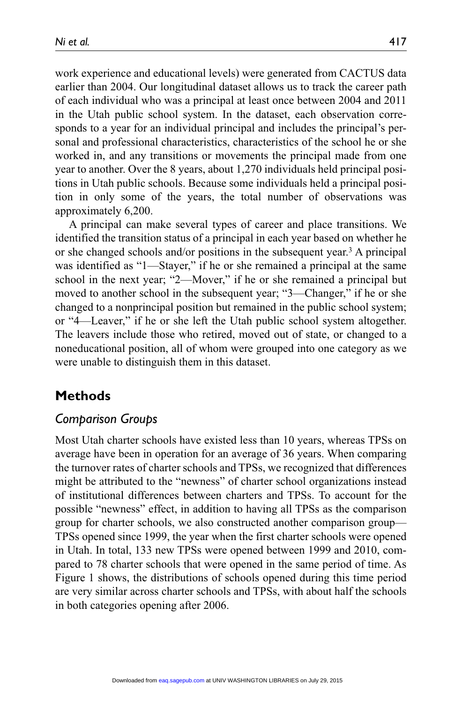work experience and educational levels) were generated from CACTUS data earlier than 2004. Our longitudinal dataset allows us to track the career path of each individual who was a principal at least once between 2004 and 2011 in the Utah public school system. In the dataset, each observation corresponds to a year for an individual principal and includes the principal's personal and professional characteristics, characteristics of the school he or she worked in, and any transitions or movements the principal made from one year to another. Over the 8 years, about 1,270 individuals held principal positions in Utah public schools. Because some individuals held a principal position in only some of the years, the total number of observations was approximately 6,200.

A principal can make several types of career and place transitions. We identified the transition status of a principal in each year based on whether he or she changed schools and/or positions in the subsequent year.3 A principal was identified as "1—Stayer," if he or she remained a principal at the same school in the next year; "2—Mover," if he or she remained a principal but moved to another school in the subsequent year; "3—Changer," if he or she changed to a nonprincipal position but remained in the public school system; or "4—Leaver," if he or she left the Utah public school system altogether. The leavers include those who retired, moved out of state, or changed to a noneducational position, all of whom were grouped into one category as we were unable to distinguish them in this dataset.

## **Methods**

#### *Comparison Groups*

Most Utah charter schools have existed less than 10 years, whereas TPSs on average have been in operation for an average of 36 years. When comparing the turnover rates of charter schools and TPSs, we recognized that differences might be attributed to the "newness" of charter school organizations instead of institutional differences between charters and TPSs. To account for the possible "newness" effect, in addition to having all TPSs as the comparison group for charter schools, we also constructed another comparison group— TPSs opened since 1999, the year when the first charter schools were opened in Utah. In total, 133 new TPSs were opened between 1999 and 2010, compared to 78 charter schools that were opened in the same period of time. As Figure 1 shows, the distributions of schools opened during this time period are very similar across charter schools and TPSs, with about half the schools in both categories opening after 2006.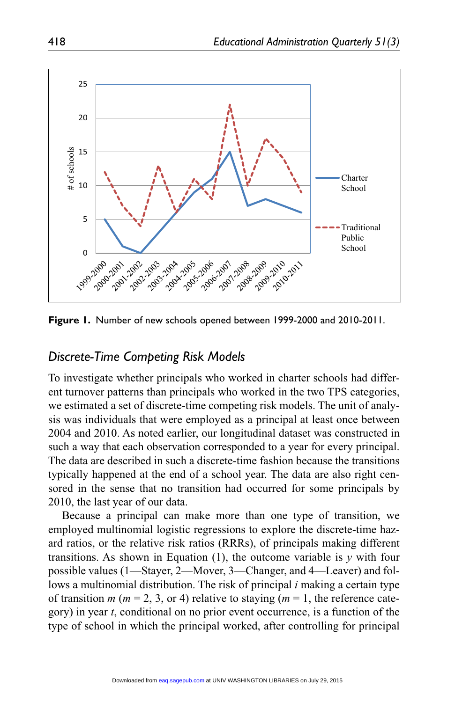

**Figure 1.** Number of new schools opened between 1999-2000 and 2010-2011.

## *Discrete-Time Competing Risk Models*

To investigate whether principals who worked in charter schools had different turnover patterns than principals who worked in the two TPS categories, we estimated a set of discrete-time competing risk models. The unit of analysis was individuals that were employed as a principal at least once between 2004 and 2010. As noted earlier, our longitudinal dataset was constructed in such a way that each observation corresponded to a year for every principal. The data are described in such a discrete-time fashion because the transitions typically happened at the end of a school year. The data are also right censored in the sense that no transition had occurred for some principals by 2010, the last year of our data.

Because a principal can make more than one type of transition, we employed multinomial logistic regressions to explore the discrete-time hazard ratios, or the relative risk ratios (RRRs), of principals making different transitions. As shown in Equation  $(1)$ , the outcome variable is  $y$  with four possible values (1—Stayer, 2—Mover, 3—Changer, and 4—Leaver) and follows a multinomial distribution. The risk of principal *i* making a certain type of transition  $m (m = 2, 3, \text{ or } 4)$  relative to staying  $(m = 1, \text{ the reference cate-}$ gory) in year *t*, conditional on no prior event occurrence, is a function of the type of school in which the principal worked, after controlling for principal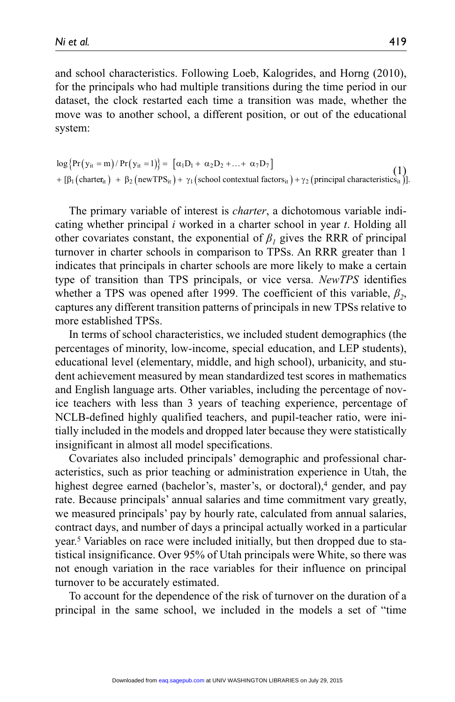and school characteristics. Following Loeb, Kalogrides, and Horng (2010), for the principals who had multiple transitions during the time period in our dataset, the clock restarted each time a transition was made, whether the move was to another school, a different position, or out of the educational system:

 $\log \{ \Pr(y_{it} = m) / \Pr(y_{it} = 1) \} = \left[ \alpha_1 D_1 + \alpha_2 D_2 + ... + \alpha_7 D_7 \right]$  $+\left[\beta_1\left(\text{charter}_{it}\right) + \beta_2\left(\text{newTPS}_{it}\right) + \gamma_1\left(\text{school contextual factors}_{it}\right) + \gamma_2\left(\text{principal characteristics}_{it}\right)\right].$ 

The primary variable of interest is *charter*, a dichotomous variable indicating whether principal *i* worked in a charter school in year *t*. Holding all other covariates constant, the exponential of  $\beta_1$  gives the RRR of principal turnover in charter schools in comparison to TPSs. An RRR greater than 1 indicates that principals in charter schools are more likely to make a certain type of transition than TPS principals, or vice versa. *NewTPS* identifies whether a TPS was opened after 1999. The coefficient of this variable,  $\beta_2$ , captures any different transition patterns of principals in new TPSs relative to more established TPSs.

In terms of school characteristics, we included student demographics (the percentages of minority, low-income, special education, and LEP students), educational level (elementary, middle, and high school), urbanicity, and student achievement measured by mean standardized test scores in mathematics and English language arts. Other variables, including the percentage of novice teachers with less than 3 years of teaching experience, percentage of NCLB-defined highly qualified teachers, and pupil-teacher ratio, were initially included in the models and dropped later because they were statistically insignificant in almost all model specifications.

Covariates also included principals' demographic and professional characteristics, such as prior teaching or administration experience in Utah, the highest degree earned (bachelor's, master's, or doctoral),<sup>4</sup> gender, and pay rate. Because principals' annual salaries and time commitment vary greatly, we measured principals' pay by hourly rate, calculated from annual salaries, contract days, and number of days a principal actually worked in a particular year.5 Variables on race were included initially, but then dropped due to statistical insignificance. Over 95% of Utah principals were White, so there was not enough variation in the race variables for their influence on principal turnover to be accurately estimated.

To account for the dependence of the risk of turnover on the duration of a principal in the same school, we included in the models a set of "time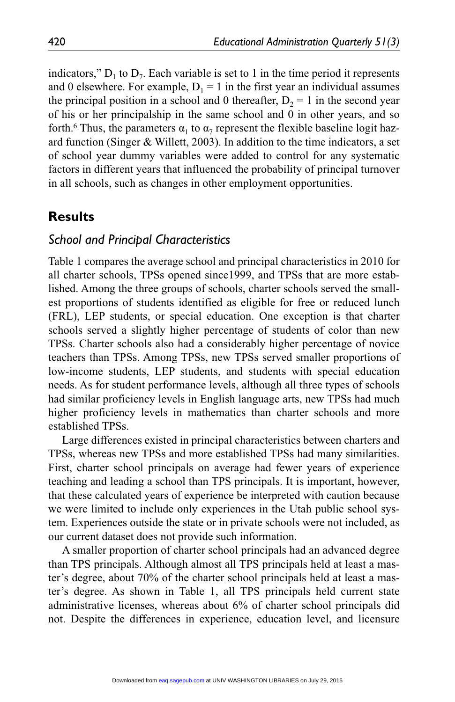indicators,"  $D_1$  to  $D_7$ . Each variable is set to 1 in the time period it represents and 0 elsewhere. For example,  $D_1 = 1$  in the first year an individual assumes the principal position in a school and 0 thereafter,  $D<sub>2</sub> = 1$  in the second year of his or her principalship in the same school and 0 in other years, and so forth.<sup>6</sup> Thus, the parameters  $\alpha_1$  to  $\alpha_7$  represent the flexible baseline logit hazard function (Singer & Willett, 2003). In addition to the time indicators, a set of school year dummy variables were added to control for any systematic factors in different years that influenced the probability of principal turnover in all schools, such as changes in other employment opportunities.

### **Results**

#### *School and Principal Characteristics*

Table 1 compares the average school and principal characteristics in 2010 for all charter schools, TPSs opened since1999, and TPSs that are more established. Among the three groups of schools, charter schools served the smallest proportions of students identified as eligible for free or reduced lunch (FRL), LEP students, or special education. One exception is that charter schools served a slightly higher percentage of students of color than new TPSs. Charter schools also had a considerably higher percentage of novice teachers than TPSs. Among TPSs, new TPSs served smaller proportions of low-income students, LEP students, and students with special education needs. As for student performance levels, although all three types of schools had similar proficiency levels in English language arts, new TPSs had much higher proficiency levels in mathematics than charter schools and more established TPSs.

Large differences existed in principal characteristics between charters and TPSs, whereas new TPSs and more established TPSs had many similarities. First, charter school principals on average had fewer years of experience teaching and leading a school than TPS principals. It is important, however, that these calculated years of experience be interpreted with caution because we were limited to include only experiences in the Utah public school system. Experiences outside the state or in private schools were not included, as our current dataset does not provide such information.

A smaller proportion of charter school principals had an advanced degree than TPS principals. Although almost all TPS principals held at least a master's degree, about 70% of the charter school principals held at least a master's degree. As shown in Table 1, all TPS principals held current state administrative licenses, whereas about 6% of charter school principals did not. Despite the differences in experience, education level, and licensure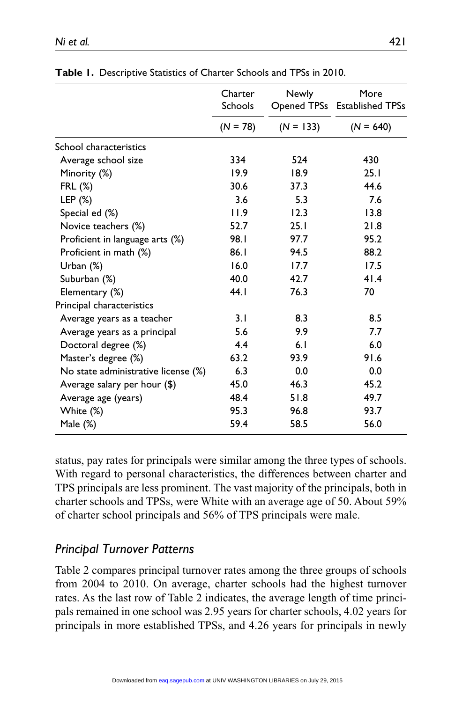|                                     | Charter<br>Schools | Newly       | More<br>Opened TPSs Established TPSs |
|-------------------------------------|--------------------|-------------|--------------------------------------|
|                                     | $(N = 78)$         | $(N = 133)$ | $(N = 640)$                          |
| School characteristics              |                    |             |                                      |
| Average school size                 | 334                | 524         | 430                                  |
| Minority (%)                        | 19.9               | 18.9        | 25.1                                 |
| <b>FRL (%)</b>                      | 30.6               | 37.3        | 44.6                                 |
| LEP $(\%)$                          | 3.6                | 5.3         | 7.6                                  |
| Special ed (%)                      | 11.9               | 12.3        | 13.8                                 |
| Novice teachers (%)                 | 52.7               | 25.1        | 21.8                                 |
| Proficient in language arts (%)     | 98.I               | 97.7        | 95.2                                 |
| Proficient in math (%)              | 86.1               | 94.5        | 88.2                                 |
| Urban (%)                           | 16.0               | 17.7        | 17.5                                 |
| Suburban (%)                        | 40.0               | 42.7        | 41.4                                 |
| Elementary (%)                      | 44.1               | 76.3        | 70                                   |
| Principal characteristics           |                    |             |                                      |
| Average years as a teacher          | 3.1                | 8.3         | 8.5                                  |
| Average years as a principal        | 5.6                | 9.9         | 7.7                                  |
| Doctoral degree (%)                 | 4.4                | 6.1         | 6.0                                  |
| Master's degree (%)                 | 63.2               | 93.9        | 91.6                                 |
| No state administrative license (%) | 6.3                | 0.0         | 0.0                                  |
| Average salary per hour (\$)        | 45.0               | 46.3        | 45.2                                 |
| Average age (years)                 | 48.4               | 51.8        | 49.7                                 |
| White (%)                           | 95.3               | 96.8        | 93.7                                 |
| Male (%)                            | 59.4               | 58.5        | 56.0                                 |

**Table 1.** Descriptive Statistics of Charter Schools and TPSs in 2010.

status, pay rates for principals were similar among the three types of schools. With regard to personal characteristics, the differences between charter and TPS principals are less prominent. The vast majority of the principals, both in charter schools and TPSs, were White with an average age of 50. About 59% of charter school principals and 56% of TPS principals were male.

#### *Principal Turnover Patterns*

Table 2 compares principal turnover rates among the three groups of schools from 2004 to 2010. On average, charter schools had the highest turnover rates. As the last row of Table 2 indicates, the average length of time principals remained in one school was 2.95 years for charter schools, 4.02 years for principals in more established TPSs, and 4.26 years for principals in newly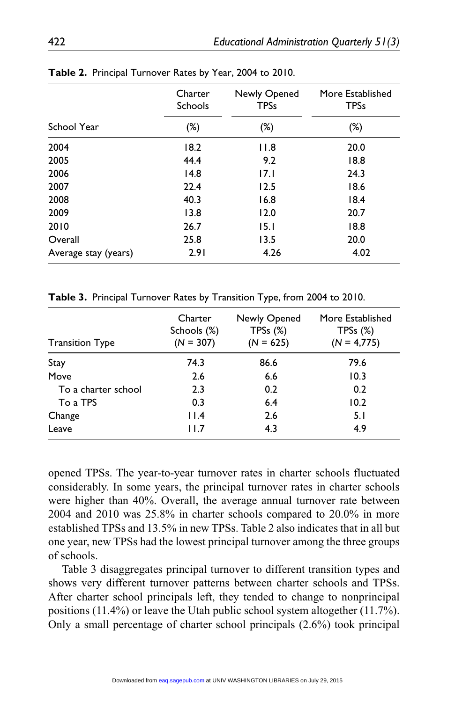|                      | Charter<br>Schools | Newly Opened<br><b>TPSs</b> | More Established<br><b>TPSs</b> |
|----------------------|--------------------|-----------------------------|---------------------------------|
| School Year          | $(\%)$             | $(\%)$                      | $(\%)$                          |
| 2004                 | 18.2               | 11.8                        | 20.0                            |
| 2005                 | 44.4               | 9.2                         | 18.8                            |
| 2006                 | 14.8               | 17.1                        | 24.3                            |
| 2007                 | 22.4               | 12.5                        | 18.6                            |
| 2008                 | 40.3               | 16.8                        | 18.4                            |
| 2009                 | 13.8               | 12.0                        | 20.7                            |
| 2010                 | 26.7               | 15.1                        | 18.8                            |
| Overall              | 25.8               | 13.5                        | 20.0                            |
| Average stay (years) | 2.91               | 4.26                        | 4.02                            |

**Table 2.** Principal Turnover Rates by Year, 2004 to 2010.

**Table 3.** Principal Turnover Rates by Transition Type, from 2004 to 2010.

| <b>Transition Type</b> | Charter<br>Schools (%)<br>$(N = 307)$ | Newly Opened<br>TPSs $(\%)$<br>$(N = 625)$ | More Established<br>TPSs $(\%)$<br>$(N = 4,775)$ |
|------------------------|---------------------------------------|--------------------------------------------|--------------------------------------------------|
| Stay                   | 74.3                                  | 86.6                                       | 79.6                                             |
| Move                   | 2.6                                   | 6.6                                        | 10.3                                             |
| To a charter school    | 2.3                                   | 0.2                                        | 0.2                                              |
| To a TPS               | 0.3                                   | 6.4                                        | 10.2                                             |
| Change                 | 11.4                                  | 2.6                                        | 5.1                                              |
| Leave                  | 11.7                                  | 4.3                                        | 4.9                                              |

opened TPSs. The year-to-year turnover rates in charter schools fluctuated considerably. In some years, the principal turnover rates in charter schools were higher than 40%. Overall, the average annual turnover rate between 2004 and 2010 was 25.8% in charter schools compared to 20.0% in more established TPSs and 13.5% in new TPSs. Table 2 also indicates that in all but one year, new TPSs had the lowest principal turnover among the three groups of schools.

Table 3 disaggregates principal turnover to different transition types and shows very different turnover patterns between charter schools and TPSs. After charter school principals left, they tended to change to nonprincipal positions (11.4%) or leave the Utah public school system altogether (11.7%). Only a small percentage of charter school principals (2.6%) took principal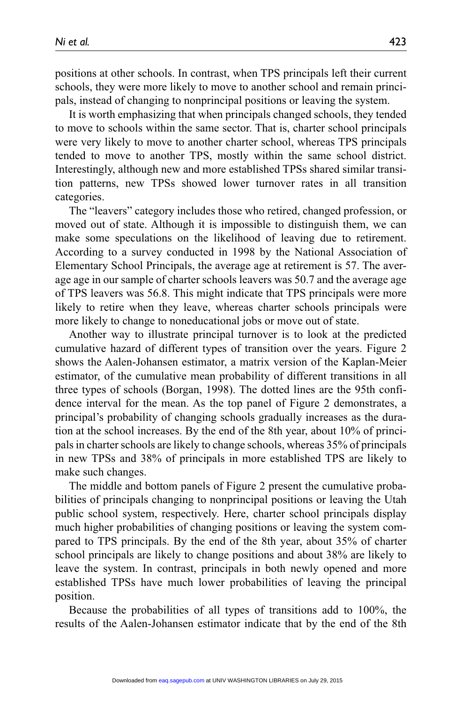positions at other schools. In contrast, when TPS principals left their current schools, they were more likely to move to another school and remain principals, instead of changing to nonprincipal positions or leaving the system.

It is worth emphasizing that when principals changed schools, they tended to move to schools within the same sector. That is, charter school principals were very likely to move to another charter school, whereas TPS principals tended to move to another TPS, mostly within the same school district. Interestingly, although new and more established TPSs shared similar transition patterns, new TPSs showed lower turnover rates in all transition categories.

The "leavers" category includes those who retired, changed profession, or moved out of state. Although it is impossible to distinguish them, we can make some speculations on the likelihood of leaving due to retirement. According to a survey conducted in 1998 by the National Association of Elementary School Principals, the average age at retirement is 57. The average age in our sample of charter schools leavers was 50.7 and the average age of TPS leavers was 56.8. This might indicate that TPS principals were more likely to retire when they leave, whereas charter schools principals were more likely to change to noneducational jobs or move out of state.

Another way to illustrate principal turnover is to look at the predicted cumulative hazard of different types of transition over the years. Figure 2 shows the Aalen-Johansen estimator, a matrix version of the Kaplan-Meier estimator, of the cumulative mean probability of different transitions in all three types of schools (Borgan, 1998). The dotted lines are the 95th confidence interval for the mean. As the top panel of Figure 2 demonstrates, a principal's probability of changing schools gradually increases as the duration at the school increases. By the end of the 8th year, about 10% of principals in charter schools are likely to change schools, whereas 35% of principals in new TPSs and 38% of principals in more established TPS are likely to make such changes.

The middle and bottom panels of Figure 2 present the cumulative probabilities of principals changing to nonprincipal positions or leaving the Utah public school system, respectively. Here, charter school principals display much higher probabilities of changing positions or leaving the system compared to TPS principals. By the end of the 8th year, about 35% of charter school principals are likely to change positions and about 38% are likely to leave the system. In contrast, principals in both newly opened and more established TPSs have much lower probabilities of leaving the principal position.

Because the probabilities of all types of transitions add to 100%, the results of the Aalen-Johansen estimator indicate that by the end of the 8th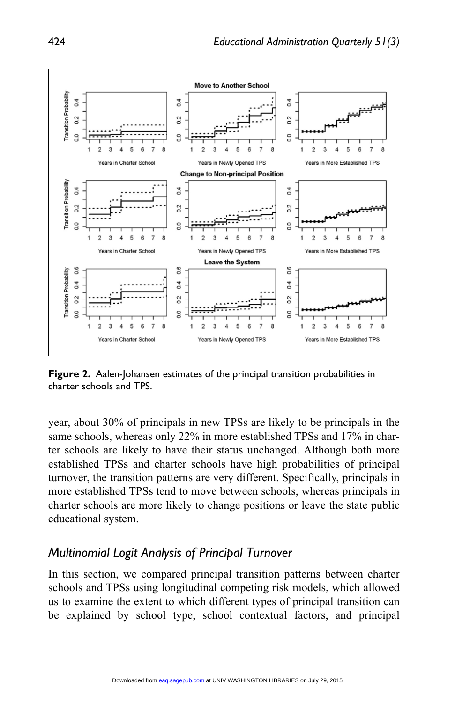

**Figure 2.** Aalen-Johansen estimates of the principal transition probabilities in charter schools and TPS.

year, about 30% of principals in new TPSs are likely to be principals in the same schools, whereas only 22% in more established TPSs and 17% in charter schools are likely to have their status unchanged. Although both more established TPSs and charter schools have high probabilities of principal turnover, the transition patterns are very different. Specifically, principals in more established TPSs tend to move between schools, whereas principals in charter schools are more likely to change positions or leave the state public educational system.

## *Multinomial Logit Analysis of Principal Turnover*

In this section, we compared principal transition patterns between charter schools and TPSs using longitudinal competing risk models, which allowed us to examine the extent to which different types of principal transition can be explained by school type, school contextual factors, and principal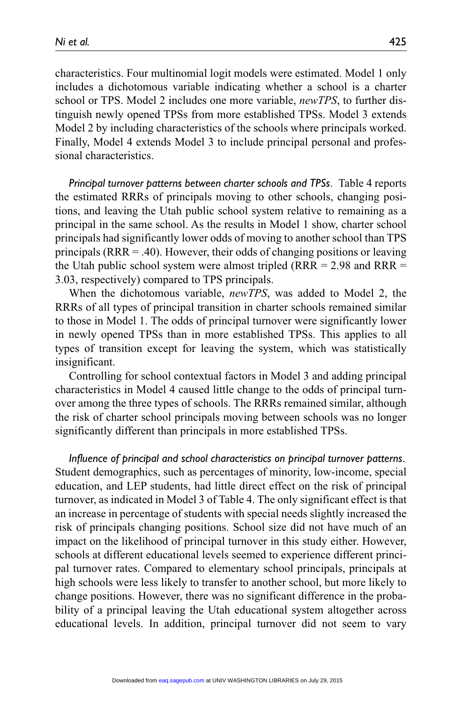characteristics. Four multinomial logit models were estimated. Model 1 only includes a dichotomous variable indicating whether a school is a charter school or TPS. Model 2 includes one more variable, *newTPS*, to further distinguish newly opened TPSs from more established TPSs. Model 3 extends Model 2 by including characteristics of the schools where principals worked. Finally, Model 4 extends Model 3 to include principal personal and professional characteristics.

*Principal turnover patterns between charter schools and TPSs*. Table 4 reports the estimated RRRs of principals moving to other schools, changing positions, and leaving the Utah public school system relative to remaining as a principal in the same school. As the results in Model 1 show, charter school principals had significantly lower odds of moving to another school than TPS principals ( $RRR = .40$ ). However, their odds of changing positions or leaving the Utah public school system were almost tripled (RRR  $= 2.98$  and RRR  $=$ 3.03, respectively) compared to TPS principals.

When the dichotomous variable, *newTPS*, was added to Model 2, the RRRs of all types of principal transition in charter schools remained similar to those in Model 1. The odds of principal turnover were significantly lower in newly opened TPSs than in more established TPSs. This applies to all types of transition except for leaving the system, which was statistically insignificant.

Controlling for school contextual factors in Model 3 and adding principal characteristics in Model 4 caused little change to the odds of principal turnover among the three types of schools. The RRRs remained similar, although the risk of charter school principals moving between schools was no longer significantly different than principals in more established TPSs.

*Influence of principal and school characteristics on principal turnover patterns*. Student demographics, such as percentages of minority, low-income, special education, and LEP students, had little direct effect on the risk of principal turnover, as indicated in Model 3 of Table 4. The only significant effect is that an increase in percentage of students with special needs slightly increased the risk of principals changing positions. School size did not have much of an impact on the likelihood of principal turnover in this study either. However, schools at different educational levels seemed to experience different principal turnover rates. Compared to elementary school principals, principals at high schools were less likely to transfer to another school, but more likely to change positions. However, there was no significant difference in the probability of a principal leaving the Utah educational system altogether across educational levels. In addition, principal turnover did not seem to vary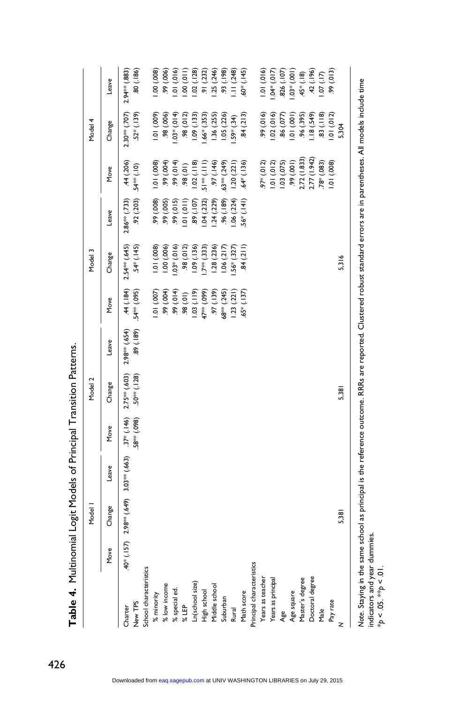|                           |      | Model I                                   |       |                       | Model 2          |                |                | Model 3           |                 |                          | Model 4              |                |
|---------------------------|------|-------------------------------------------|-------|-----------------------|------------------|----------------|----------------|-------------------|-----------------|--------------------------|----------------------|----------------|
|                           | Move | Change                                    | Leave | Move                  | Change           | Leave          | Move           | Change            | Leave           | Move                     | Change               | Leave          |
| Charter                   |      | $40*$ (.157) 2.98** (.649) 3.03*** (.663) |       | $.37*$ (.146)         | $2.75***$ (.603) | 2.98*** (.654) | .44 (.184)     | $2.54**$ (.645)   | $2.86**$ (.733) | .44(.206)                | 2.30** (.707)        | 2.94** (.883)  |
| New TPS                   |      |                                           |       | 58 <sup>%</sup> (098) | $.50*** (.128)$  | 89 (.189)      | 54** (.095)    | $.54*(.145)$      | (201, 203)      | .54 <sup>##</sup> (.10)  | 52* (.139)           | 80 (.186)      |
| School characteristics    |      |                                           |       |                       |                  |                |                |                   |                 |                          |                      |                |
| % minority                |      |                                           |       |                       |                  |                | $(001)$ $10$   | 000(0.008)        | $(800')$ 66     | 000(1000)                | $(600)$ $10.1$       | 00 (.008)      |
| % low income              |      |                                           |       |                       |                  |                | $(600)$ 66     | 000) 001          | $(500)$ 66      | $(600)$ 66               | $(900)$ 86.          | $(900)$ 66     |
| % special ed.             |      |                                           |       |                       |                  |                | (10) 66        | $(016)$ * $(0.0)$ | $(510)$ 66      | $(10, 0.9)$ 66           | $(10, 0)$ * $(0, 0)$ | $(916)$ 10.    |
| % LEP                     |      |                                           |       |                       |                  |                | $(10)$ 86      | (510, 98          | $(110)$ 10.     | (10.989)                 | (210, 98)            | (110, 000)     |
| Ln(school size)           |      |                                           |       |                       |                  |                | $(611)$ $801$  | 1.09 (.136)       | (107) 68        | 1.02(.118)               | 1.09(133)            | .02(1.128)     |
| High school               |      |                                           |       |                       |                  |                | (660) ***      | $7**$ (333)       | .04(.232)       | $51$ <sup>**</sup> (.111 | $.66*(.353)$         | .91(232)       |
| Middle school             |      |                                           |       |                       |                  |                | $(651')$ $26'$ | (236)             | .24(.229)       | 97 (.146)                | .36(.255)            | .25(.246)      |
| Suburban                  |      |                                           |       |                       |                  |                | $68***(245)$   | 1.06(217)         | .96 (.189)      | $(545)$ *** (.249)       | 1.05(226)            | $(861)$ $56$ . |
| <b>Rural</b>              |      |                                           |       |                       |                  |                | (22)           | $.56*(.327)$      | .06(224)        | 1.20(22)                 | $.59*(.34)$          | 11 (248)       |
| Math score                |      |                                           |       |                       |                  |                | 65* (.137      | 84(211)           | 56* (.141)      | $.64*(.136)$             | .84(213)             | $60*$ (.145)   |
| Principal characteristics |      |                                           |       |                       |                  |                |                |                   |                 |                          |                      |                |
| Years as teacher          |      |                                           |       |                       |                  |                |                |                   |                 | 97* (.012)               | (910') 66            | (910) 101      |
| Years as principal        |      |                                           |       |                       |                  |                |                |                   |                 | 1.01(012)                | (016)                | $(210)$ *b0    |
| Age                       |      |                                           |       |                       |                  |                |                |                   |                 | 1.03 (.075)              | .86 (.077)           | 826 (.107)     |
| Age square                |      |                                           |       |                       |                  |                |                |                   |                 | $(100')$ 66              | $(100)$ 10.          | $(1001)$ $*50$ |
| Master's degree           |      |                                           |       |                       |                  |                |                |                   |                 | 2.72 (1.833)             | .96 (.395)           | $.45*(.18)$    |
| Doctoral degree           |      |                                           |       |                       |                  |                |                |                   |                 | 2.77 (1.942)             | $(6+5)$ 81.          | .42(.196)      |
| Male                      |      |                                           |       |                       |                  |                |                |                   |                 | 78* (.083)               | (811) 88             | $(21')$ $(0)$  |
| Pay rate                  |      |                                           |       |                       |                  |                |                |                   |                 | (800) 10.1               | .01(012)             | (510) 66       |
| z                         |      | 5,381                                     |       |                       | 5,381            |                |                | 5,316             |                 |                          | 5,304                |                |

Table 4. Multinomial Logit Models of Principal Transition Patterns. **Table 4.** Multinomial Logit Models of Principal Transition Patterns.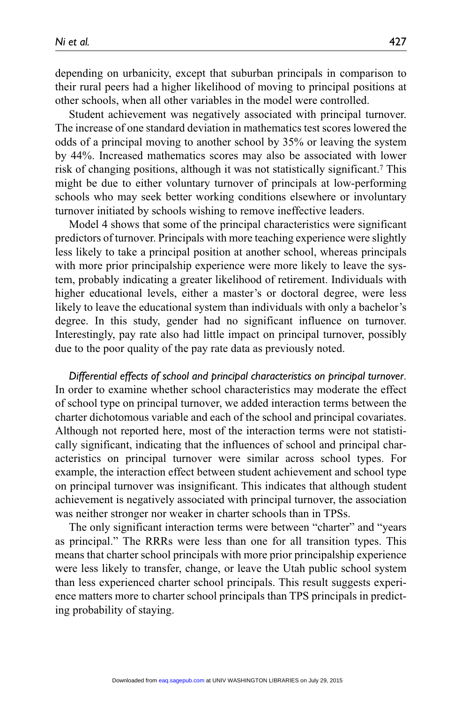depending on urbanicity, except that suburban principals in comparison to their rural peers had a higher likelihood of moving to principal positions at other schools, when all other variables in the model were controlled.

Student achievement was negatively associated with principal turnover. The increase of one standard deviation in mathematics test scores lowered the odds of a principal moving to another school by 35% or leaving the system by 44%. Increased mathematics scores may also be associated with lower risk of changing positions, although it was not statistically significant.7 This might be due to either voluntary turnover of principals at low-performing schools who may seek better working conditions elsewhere or involuntary turnover initiated by schools wishing to remove ineffective leaders.

Model 4 shows that some of the principal characteristics were significant predictors of turnover. Principals with more teaching experience were slightly less likely to take a principal position at another school, whereas principals with more prior principalship experience were more likely to leave the system, probably indicating a greater likelihood of retirement. Individuals with higher educational levels, either a master's or doctoral degree, were less likely to leave the educational system than individuals with only a bachelor's degree. In this study, gender had no significant influence on turnover. Interestingly, pay rate also had little impact on principal turnover, possibly due to the poor quality of the pay rate data as previously noted.

*Differential effects of school and principal characteristics on principal turnover*. In order to examine whether school characteristics may moderate the effect of school type on principal turnover, we added interaction terms between the charter dichotomous variable and each of the school and principal covariates. Although not reported here, most of the interaction terms were not statistically significant, indicating that the influences of school and principal characteristics on principal turnover were similar across school types. For example, the interaction effect between student achievement and school type on principal turnover was insignificant. This indicates that although student achievement is negatively associated with principal turnover, the association was neither stronger nor weaker in charter schools than in TPSs.

The only significant interaction terms were between "charter" and "years as principal." The RRRs were less than one for all transition types. This means that charter school principals with more prior principalship experience were less likely to transfer, change, or leave the Utah public school system than less experienced charter school principals. This result suggests experience matters more to charter school principals than TPS principals in predicting probability of staying.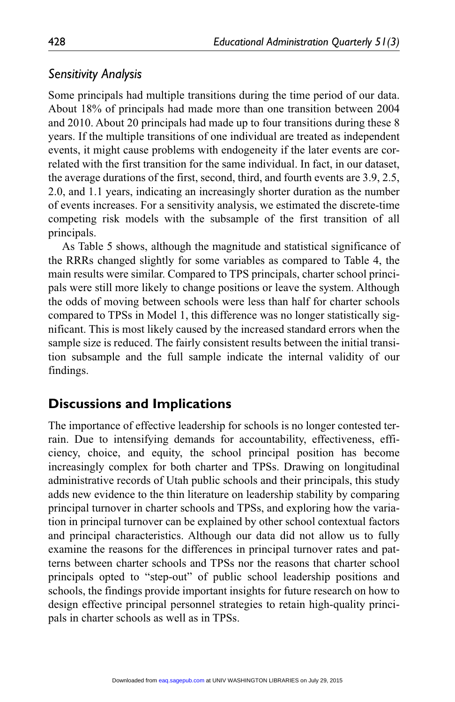#### *Sensitivity Analysis*

Some principals had multiple transitions during the time period of our data. About 18% of principals had made more than one transition between 2004 and 2010. About 20 principals had made up to four transitions during these 8 years. If the multiple transitions of one individual are treated as independent events, it might cause problems with endogeneity if the later events are correlated with the first transition for the same individual. In fact, in our dataset, the average durations of the first, second, third, and fourth events are 3.9, 2.5, 2.0, and 1.1 years, indicating an increasingly shorter duration as the number of events increases. For a sensitivity analysis, we estimated the discrete-time competing risk models with the subsample of the first transition of all principals.

As Table 5 shows, although the magnitude and statistical significance of the RRRs changed slightly for some variables as compared to Table 4, the main results were similar. Compared to TPS principals, charter school principals were still more likely to change positions or leave the system. Although the odds of moving between schools were less than half for charter schools compared to TPSs in Model 1, this difference was no longer statistically significant. This is most likely caused by the increased standard errors when the sample size is reduced. The fairly consistent results between the initial transition subsample and the full sample indicate the internal validity of our findings.

#### **Discussions and Implications**

The importance of effective leadership for schools is no longer contested terrain. Due to intensifying demands for accountability, effectiveness, efficiency, choice, and equity, the school principal position has become increasingly complex for both charter and TPSs. Drawing on longitudinal administrative records of Utah public schools and their principals, this study adds new evidence to the thin literature on leadership stability by comparing principal turnover in charter schools and TPSs, and exploring how the variation in principal turnover can be explained by other school contextual factors and principal characteristics. Although our data did not allow us to fully examine the reasons for the differences in principal turnover rates and patterns between charter schools and TPSs nor the reasons that charter school principals opted to "step-out" of public school leadership positions and schools, the findings provide important insights for future research on how to design effective principal personnel strategies to retain high-quality principals in charter schools as well as in TPSs.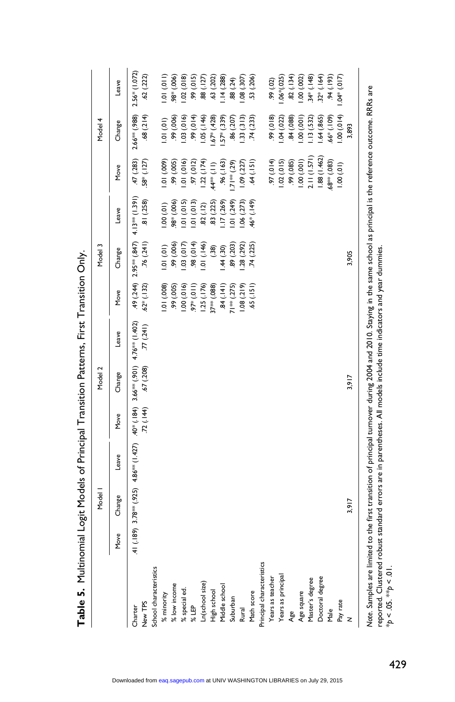| (104'U' *** 2'4'U' + 184'') 4.86** (124'U' *** 98' + 62C) *** 02C) 14.04'U *** 02C)<br>Leave<br>Change<br>Move<br>School characteristics<br>Ln(school size)<br>% low income<br>High school<br>% special ed.<br>% minority<br><b>New TPS</b><br>Charter<br>% LEP | Move      |            |           |                |                |                                                     |                |                |                |
|-----------------------------------------------------------------------------------------------------------------------------------------------------------------------------------------------------------------------------------------------------------------|-----------|------------|-----------|----------------|----------------|-----------------------------------------------------|----------------|----------------|----------------|
|                                                                                                                                                                                                                                                                 |           | Change     | Leave     | Move           | Change         | Leave                                               | Move           | Change         | Leave          |
|                                                                                                                                                                                                                                                                 |           |            |           |                |                | $(1.89)(244)$ $2.95***$ $(847)$ $4.13***$ $(1.391)$ | 47 (.283)      | 2.66** (.988)  | 2.56* (1.072)  |
|                                                                                                                                                                                                                                                                 | .72(.144) | .67 (.208) | .77(.241) | $.62*$ (.132)  | .76(0.241)     | .81 (.258)                                          | 58* (.127)     | .68(214)       | .62(.222)      |
|                                                                                                                                                                                                                                                                 |           |            |           |                |                |                                                     |                |                |                |
|                                                                                                                                                                                                                                                                 |           |            |           | $(800)$ $ 0$ . | $(101)$ $(01)$ | (100, 000)                                          | $(600)$ $10.1$ | (1.01)(0.1)    | (110, 10)      |
|                                                                                                                                                                                                                                                                 |           |            |           | $(200)$ 66     | $(900)$ 66     | 900) *86                                            | $(500)$ 66     | $(900)$ 66     | (900') *86     |
|                                                                                                                                                                                                                                                                 |           |            |           | $(910)$ 00:    | $(010)$ $50$ . | $(510)$ 10.                                         | $(910)$ 10.    | $(910)$ $50$ . | $(810)$ $20$ . |
|                                                                                                                                                                                                                                                                 |           |            |           | $(110) * 6$    | $(410)$ 86.    | $(510)$ 10.                                         | $(210)$ /6     | $(10, 0)$ 66   | (510) 66       |
|                                                                                                                                                                                                                                                                 |           |            |           | 1.25(.176)     | $(9 + 1)$ 10.  | .82(.12)                                            | 1.22(.174)     | .05(.146)      | 88 (.127)      |
|                                                                                                                                                                                                                                                                 |           |            |           | 87** (.088)    | (.38)          | 83 (.225)                                           | $44**$ (.11)   | $(67*(.428)$   | 63 (.202)      |
| Middle school                                                                                                                                                                                                                                                   |           |            |           | $(141)$ }      | .44(.30)       | .17 (.269)                                          | .96(.163)      | $57*(.339)$    | .14(.288)      |
| Suburban                                                                                                                                                                                                                                                        |           |            |           | $71** (275)$   | 89 (203)       | 01 (.249)                                           | $(51)^*$ (29)  | .86 (.207)     | 88 (.24)       |
| Rural                                                                                                                                                                                                                                                           |           |            |           | (219)          | 28 (292)       | .06(273)                                            | 1.09(227)      | 33(313)        | (307)          |
| Math score                                                                                                                                                                                                                                                      |           |            |           | $(151)$ 56.    | .74(.225)      | 46* (.149)                                          | (151)          | .74(.233)      | 53 (.206)      |
| Principal characteristics                                                                                                                                                                                                                                       |           |            |           |                |                |                                                     |                |                |                |
| Years as teacher                                                                                                                                                                                                                                                |           |            |           |                |                |                                                     | (10.017)       | $(810)$ 66     | .99 (.02)      |
| Years as principal                                                                                                                                                                                                                                              |           |            |           |                |                |                                                     | 1.02(015)      | .04(022)       | $1.06*(.025)$  |
| Age                                                                                                                                                                                                                                                             |           |            |           |                |                |                                                     | (\$80') 66     | 84 (.088)      | .82(.134)      |
| Age square                                                                                                                                                                                                                                                      |           |            |           |                |                |                                                     | (100, 000)     | (100, 000)     | (200)(00)      |
| Master's degree                                                                                                                                                                                                                                                 |           |            |           |                |                |                                                     | 2.11(1.571)    | .13(.532)      | 34* (.148)     |
| Doctoral degree                                                                                                                                                                                                                                                 |           |            |           |                |                |                                                     | 1.88(1.462)    | .64(.865)      | 32* (.164)     |
| Male                                                                                                                                                                                                                                                            |           |            |           |                |                |                                                     | 68** (.083)    | 66* (.109)     | $(561)$ +6     |
| Pay rate                                                                                                                                                                                                                                                        |           |            |           |                |                |                                                     | 1.00(01)       | (910, 000)     | $04*(017)$     |
| 3,917<br>$\overline{z}$                                                                                                                                                                                                                                         |           | 3,917      |           |                | 3,905          |                                                     |                | 3,893          |                |

Table 5. Multinomial Logit Models of Principal Transition Patterns, First Transition Only **Table 5.** Multinomial Logit Models of Principal Transition Patterns, First Transition Only. Note. Samples are limited to the first transition of principal turnover during 2004 and 2010. Staying in the same school as principal is the reference outcome. RRRs are *Note.* Samples are limited to the first transition of principal turnover during 2004 and 2010. Staying in the same school as principal is the reference outcome. RRRs are r voc. Sail plus are illiness comes of an analogic primeries and indicates for an active and year dimmites.<br>אלא כ AS. \*\*p < .01<br>\*p < 05. \*\*p < .01 reported. Clustered robust standard errors are in parentheses. All models include time indicators and year dummies. \**p* < .05. \*\**p* < .01.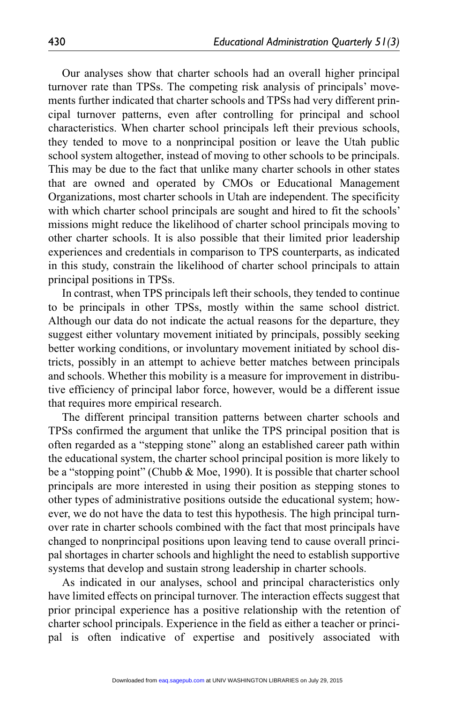Our analyses show that charter schools had an overall higher principal turnover rate than TPSs. The competing risk analysis of principals' movements further indicated that charter schools and TPSs had very different principal turnover patterns, even after controlling for principal and school characteristics. When charter school principals left their previous schools, they tended to move to a nonprincipal position or leave the Utah public school system altogether, instead of moving to other schools to be principals. This may be due to the fact that unlike many charter schools in other states that are owned and operated by CMOs or Educational Management Organizations, most charter schools in Utah are independent. The specificity with which charter school principals are sought and hired to fit the schools' missions might reduce the likelihood of charter school principals moving to other charter schools. It is also possible that their limited prior leadership experiences and credentials in comparison to TPS counterparts, as indicated in this study, constrain the likelihood of charter school principals to attain principal positions in TPSs.

In contrast, when TPS principals left their schools, they tended to continue to be principals in other TPSs, mostly within the same school district. Although our data do not indicate the actual reasons for the departure, they suggest either voluntary movement initiated by principals, possibly seeking better working conditions, or involuntary movement initiated by school districts, possibly in an attempt to achieve better matches between principals and schools. Whether this mobility is a measure for improvement in distributive efficiency of principal labor force, however, would be a different issue that requires more empirical research.

The different principal transition patterns between charter schools and TPSs confirmed the argument that unlike the TPS principal position that is often regarded as a "stepping stone" along an established career path within the educational system, the charter school principal position is more likely to be a "stopping point" (Chubb & Moe, 1990). It is possible that charter school principals are more interested in using their position as stepping stones to other types of administrative positions outside the educational system; however, we do not have the data to test this hypothesis. The high principal turnover rate in charter schools combined with the fact that most principals have changed to nonprincipal positions upon leaving tend to cause overall principal shortages in charter schools and highlight the need to establish supportive systems that develop and sustain strong leadership in charter schools.

As indicated in our analyses, school and principal characteristics only have limited effects on principal turnover. The interaction effects suggest that prior principal experience has a positive relationship with the retention of charter school principals. Experience in the field as either a teacher or principal is often indicative of expertise and positively associated with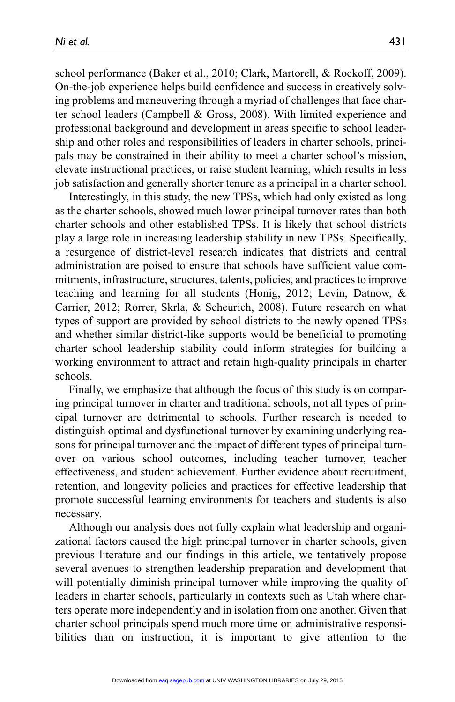school performance (Baker et al., 2010; Clark, Martorell, & Rockoff, 2009). On-the-job experience helps build confidence and success in creatively solving problems and maneuvering through a myriad of challenges that face charter school leaders (Campbell & Gross, 2008). With limited experience and professional background and development in areas specific to school leadership and other roles and responsibilities of leaders in charter schools, principals may be constrained in their ability to meet a charter school's mission, elevate instructional practices, or raise student learning, which results in less job satisfaction and generally shorter tenure as a principal in a charter school.

Interestingly, in this study, the new TPSs, which had only existed as long as the charter schools, showed much lower principal turnover rates than both charter schools and other established TPSs. It is likely that school districts play a large role in increasing leadership stability in new TPSs. Specifically, a resurgence of district-level research indicates that districts and central administration are poised to ensure that schools have sufficient value commitments, infrastructure, structures, talents, policies, and practices to improve teaching and learning for all students (Honig, 2012; Levin, Datnow, & Carrier, 2012; Rorrer, Skrla, & Scheurich, 2008). Future research on what types of support are provided by school districts to the newly opened TPSs and whether similar district-like supports would be beneficial to promoting charter school leadership stability could inform strategies for building a working environment to attract and retain high-quality principals in charter schools.

Finally, we emphasize that although the focus of this study is on comparing principal turnover in charter and traditional schools, not all types of principal turnover are detrimental to schools. Further research is needed to distinguish optimal and dysfunctional turnover by examining underlying reasons for principal turnover and the impact of different types of principal turnover on various school outcomes, including teacher turnover, teacher effectiveness, and student achievement. Further evidence about recruitment, retention, and longevity policies and practices for effective leadership that promote successful learning environments for teachers and students is also necessary.

Although our analysis does not fully explain what leadership and organizational factors caused the high principal turnover in charter schools, given previous literature and our findings in this article, we tentatively propose several avenues to strengthen leadership preparation and development that will potentially diminish principal turnover while improving the quality of leaders in charter schools, particularly in contexts such as Utah where charters operate more independently and in isolation from one another. Given that charter school principals spend much more time on administrative responsibilities than on instruction, it is important to give attention to the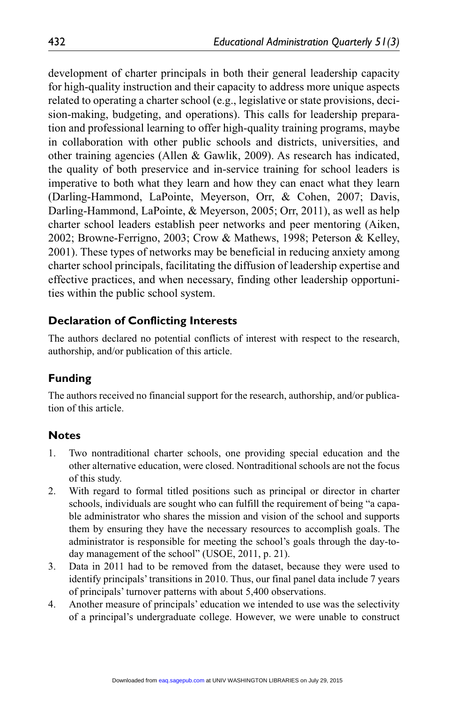development of charter principals in both their general leadership capacity for high-quality instruction and their capacity to address more unique aspects related to operating a charter school (e.g., legislative or state provisions, decision-making, budgeting, and operations). This calls for leadership preparation and professional learning to offer high-quality training programs, maybe in collaboration with other public schools and districts, universities, and other training agencies (Allen & Gawlik, 2009). As research has indicated, the quality of both preservice and in-service training for school leaders is imperative to both what they learn and how they can enact what they learn (Darling-Hammond, LaPointe, Meyerson, Orr, & Cohen, 2007; Davis, Darling-Hammond, LaPointe, & Meyerson, 2005; Orr, 2011), as well as help charter school leaders establish peer networks and peer mentoring (Aiken, 2002; Browne-Ferrigno, 2003; Crow & Mathews, 1998; Peterson & Kelley, 2001). These types of networks may be beneficial in reducing anxiety among charter school principals, facilitating the diffusion of leadership expertise and effective practices, and when necessary, finding other leadership opportunities within the public school system.

#### **Declaration of Conflicting Interests**

The authors declared no potential conflicts of interest with respect to the research, authorship, and/or publication of this article.

### **Funding**

The authors received no financial support for the research, authorship, and/or publication of this article.

### **Notes**

- 1. Two nontraditional charter schools, one providing special education and the other alternative education, were closed. Nontraditional schools are not the focus of this study.
- 2. With regard to formal titled positions such as principal or director in charter schools, individuals are sought who can fulfill the requirement of being "a capable administrator who shares the mission and vision of the school and supports them by ensuring they have the necessary resources to accomplish goals. The administrator is responsible for meeting the school's goals through the day-today management of the school" (USOE, 2011, p. 21).
- 3. Data in 2011 had to be removed from the dataset, because they were used to identify principals' transitions in 2010. Thus, our final panel data include 7 years of principals' turnover patterns with about 5,400 observations.
- 4. Another measure of principals' education we intended to use was the selectivity of a principal's undergraduate college. However, we were unable to construct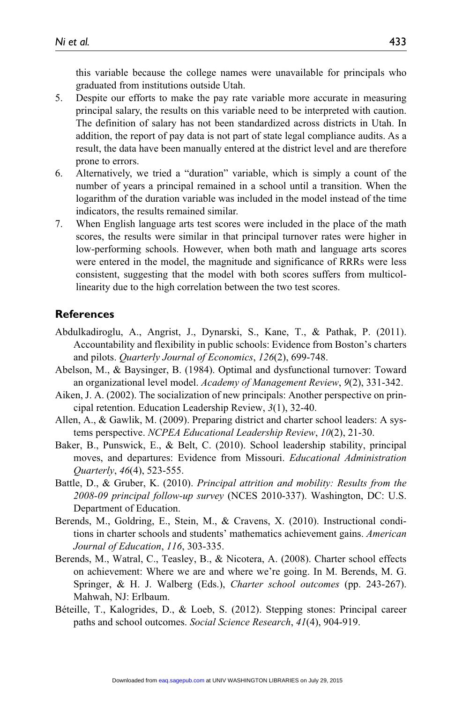this variable because the college names were unavailable for principals who graduated from institutions outside Utah.

- 5. Despite our efforts to make the pay rate variable more accurate in measuring principal salary, the results on this variable need to be interpreted with caution. The definition of salary has not been standardized across districts in Utah. In addition, the report of pay data is not part of state legal compliance audits. As a result, the data have been manually entered at the district level and are therefore prone to errors.
- 6. Alternatively, we tried a "duration" variable, which is simply a count of the number of years a principal remained in a school until a transition. When the logarithm of the duration variable was included in the model instead of the time indicators, the results remained similar.
- 7. When English language arts test scores were included in the place of the math scores, the results were similar in that principal turnover rates were higher in low-performing schools. However, when both math and language arts scores were entered in the model, the magnitude and significance of RRRs were less consistent, suggesting that the model with both scores suffers from multicollinearity due to the high correlation between the two test scores.

#### **References**

- Abdulkadiroglu, A., Angrist, J., Dynarski, S., Kane, T., & Pathak, P. (2011). Accountability and flexibility in public schools: Evidence from Boston's charters and pilots. *Quarterly Journal of Economics*, *126*(2), 699-748.
- Abelson, M., & Baysinger, B. (1984). Optimal and dysfunctional turnover: Toward an organizational level model. *Academy of Management Review*, *9*(2), 331-342.
- Aiken, J. A. (2002). The socialization of new principals: Another perspective on principal retention. Education Leadership Review, *3*(1), 32-40.
- Allen, A., & Gawlik, M. (2009). Preparing district and charter school leaders: A systems perspective. *NCPEA Educational Leadership Review*, *10*(2), 21-30.
- Baker, B., Punswick, E., & Belt, C. (2010). School leadership stability, principal moves, and departures: Evidence from Missouri. *Educational Administration Quarterly*, *46*(4), 523-555.
- Battle, D., & Gruber, K. (2010). *Principal attrition and mobility: Results from the 2008-09 principal follow-up survey* (NCES 2010-337). Washington, DC: U.S. Department of Education.
- Berends, M., Goldring, E., Stein, M., & Cravens, X. (2010). Instructional conditions in charter schools and students' mathematics achievement gains. *American Journal of Education*, *116*, 303-335.
- Berends, M., Watral, C., Teasley, B., & Nicotera, A. (2008). Charter school effects on achievement: Where we are and where we're going. In M. Berends, M. G. Springer, & H. J. Walberg (Eds.), *Charter school outcomes* (pp. 243-267). Mahwah, NJ: Erlbaum.
- Béteille, T., Kalogrides, D., & Loeb, S. (2012). Stepping stones: Principal career paths and school outcomes. *Social Science Research*, *41*(4), 904-919.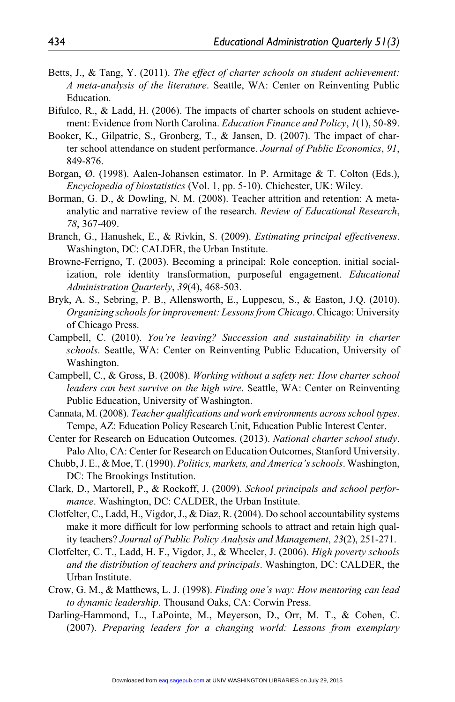- Betts, J., & Tang, Y. (2011). *The effect of charter schools on student achievement: A meta-analysis of the literature*. Seattle, WA: Center on Reinventing Public Education.
- Bifulco, R., & Ladd, H. (2006). The impacts of charter schools on student achievement: Evidence from North Carolina. *Education Finance and Policy*, *1*(1), 50-89.
- Booker, K., Gilpatric, S., Gronberg, T., & Jansen, D. (2007). The impact of charter school attendance on student performance. *Journal of Public Economics*, *91*, 849-876.
- Borgan, Ø. (1998). Aalen-Johansen estimator. In P. Armitage & T. Colton (Eds.), *Encyclopedia of biostatistics* (Vol. 1, pp. 5-10). Chichester, UK: Wiley.
- Borman, G. D., & Dowling, N. M. (2008). Teacher attrition and retention: A metaanalytic and narrative review of the research. *Review of Educational Research*, *78*, 367-409.
- Branch, G., Hanushek, E., & Rivkin, S. (2009). *Estimating principal effectiveness*. Washington, DC: CALDER, the Urban Institute.
- Browne-Ferrigno, T. (2003). Becoming a principal: Role conception, initial socialization, role identity transformation, purposeful engagement. *Educational Administration Quarterly*, *39*(4), 468-503.
- Bryk, A. S., Sebring, P. B., Allensworth, E., Luppescu, S., & Easton, J.Q. (2010). *Organizing schools for improvement: Lessons from Chicago*. Chicago: University of Chicago Press.
- Campbell, C. (2010). *You're leaving? Succession and sustainability in charter schools*. Seattle, WA: Center on Reinventing Public Education, University of Washington.
- Campbell, C., & Gross, B. (2008). *Working without a safety net: How charter school leaders can best survive on the high wire*. Seattle, WA: Center on Reinventing Public Education, University of Washington.
- Cannata, M. (2008). *Teacher qualifications and work environments across school types*. Tempe, AZ: Education Policy Research Unit, Education Public Interest Center.
- Center for Research on Education Outcomes. (2013). *National charter school study*. Palo Alto, CA: Center for Research on Education Outcomes, Stanford University.
- Chubb, J. E., & Moe, T. (1990). *Politics, markets, and America's schools*. Washington, DC: The Brookings Institution.
- Clark, D., Martorell, P., & Rockoff, J. (2009). *School principals and school performance*. Washington, DC: CALDER, the Urban Institute.
- Clotfelter, C., Ladd, H., Vigdor, J., & Diaz, R. (2004). Do school accountability systems make it more difficult for low performing schools to attract and retain high quality teachers? *Journal of Public Policy Analysis and Management*, *23*(2), 251-271.
- Clotfelter, C. T., Ladd, H. F., Vigdor, J., & Wheeler, J. (2006). *High poverty schools and the distribution of teachers and principals*. Washington, DC: CALDER, the Urban Institute.
- Crow, G. M., & Matthews, L. J. (1998). *Finding one's way: How mentoring can lead to dynamic leadership*. Thousand Oaks, CA: Corwin Press.
- Darling-Hammond, L., LaPointe, M., Meyerson, D., Orr, M. T., & Cohen, C. (2007). *Preparing leaders for a changing world: Lessons from exemplary*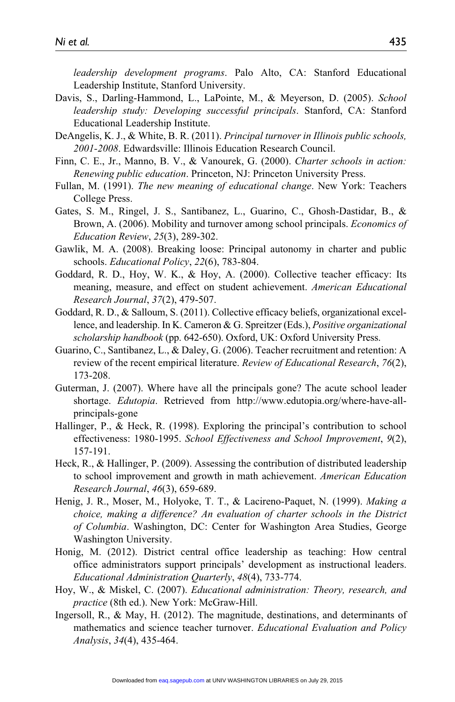*leadership development programs*. Palo Alto, CA: Stanford Educational Leadership Institute, Stanford University.

- Davis, S., Darling-Hammond, L., LaPointe, M., & Meyerson, D. (2005). *School leadership study: Developing successful principals*. Stanford, CA: Stanford Educational Leadership Institute.
- DeAngelis, K. J., & White, B. R. (2011). *Principal turnover in Illinois public schools, 2001-2008*. Edwardsville: Illinois Education Research Council.
- Finn, C. E., Jr., Manno, B. V., & Vanourek, G. (2000). *Charter schools in action: Renewing public education*. Princeton, NJ: Princeton University Press.
- Fullan, M. (1991). *The new meaning of educational change*. New York: Teachers College Press.
- Gates, S. M., Ringel, J. S., Santibanez, L., Guarino, C., Ghosh-Dastidar, B., & Brown, A. (2006). Mobility and turnover among school principals. *Economics of Education Review*, *25*(3), 289-302.
- Gawlik, M. A. (2008). Breaking loose: Principal autonomy in charter and public schools. *Educational Policy*, *22*(6), 783-804.
- Goddard, R. D., Hoy, W. K., & Hoy, A. (2000). Collective teacher efficacy: Its meaning, measure, and effect on student achievement. *American Educational Research Journal*, *37*(2), 479-507.
- Goddard, R. D., & Salloum, S. (2011). Collective efficacy beliefs, organizational excellence, and leadership. In K. Cameron & G. Spreitzer (Eds.), *Positive organizational scholarship handbook* (pp. 642-650). Oxford, UK: Oxford University Press.
- Guarino, C., Santibanez, L., & Daley, G. (2006). Teacher recruitment and retention: A review of the recent empirical literature. *Review of Educational Research*, *76*(2), 173-208.
- Guterman, J. (2007). Where have all the principals gone? The acute school leader shortage. *Edutopia*. Retrieved from [http://www.edutopia.org/where-have-all](http://www.edutopia.org/where-have-all-principals-gone)[principals-gone](http://www.edutopia.org/where-have-all-principals-gone)
- Hallinger, P., & Heck, R. (1998). Exploring the principal's contribution to school effectiveness: 1980-1995. *School Effectiveness and School Improvement*, *9*(2), 157-191.
- Heck, R., & Hallinger, P. (2009). Assessing the contribution of distributed leadership to school improvement and growth in math achievement. *American Education Research Journal*, *46*(3), 659-689.
- Henig, J. R., Moser, M., Holyoke, T. T., & Lacireno-Paquet, N. (1999). *Making a choice, making a difference? An evaluation of charter schools in the District of Columbia*. Washington, DC: Center for Washington Area Studies, George Washington University.
- Honig, M. (2012). District central office leadership as teaching: How central office administrators support principals' development as instructional leaders. *Educational Administration Quarterly*, *48*(4), 733-774.
- Hoy, W., & Miskel, C. (2007). *Educational administration: Theory, research, and practice* (8th ed.). New York: McGraw-Hill.
- Ingersoll, R., & May, H. (2012). The magnitude, destinations, and determinants of mathematics and science teacher turnover. *Educational Evaluation and Policy Analysis*, *34*(4), 435-464.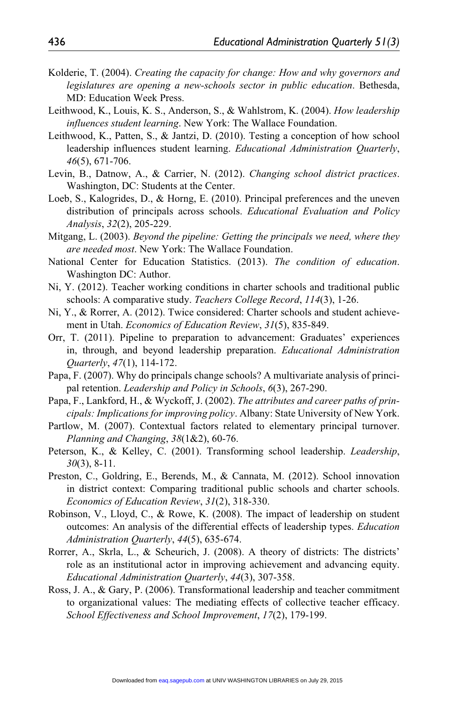- Kolderie, T. (2004). *Creating the capacity for change: How and why governors and legislatures are opening a new-schools sector in public education*. Bethesda, MD: Education Week Press.
- Leithwood, K., Louis, K. S., Anderson, S., & Wahlstrom, K. (2004). *How leadership influences student learning*. New York: The Wallace Foundation.
- Leithwood, K., Patten, S., & Jantzi, D. (2010). Testing a conception of how school leadership influences student learning. *Educational Administration Quarterly*, *46*(5), 671-706.
- Levin, B., Datnow, A., & Carrier, N. (2012). *Changing school district practices*. Washington, DC: Students at the Center.
- Loeb, S., Kalogrides, D., & Horng, E. (2010). Principal preferences and the uneven distribution of principals across schools. *Educational Evaluation and Policy Analysis*, *32*(2), 205-229.
- Mitgang, L. (2003). *Beyond the pipeline: Getting the principals we need, where they are needed most*. New York: The Wallace Foundation.
- National Center for Education Statistics. (2013). *The condition of education*. Washington DC: Author.
- Ni, Y. (2012). Teacher working conditions in charter schools and traditional public schools: A comparative study. *Teachers College Record*, *114*(3), 1-26.
- Ni, Y., & Rorrer, A. (2012). Twice considered: Charter schools and student achievement in Utah. *Economics of Education Review*, *31*(5), 835-849.
- Orr, T. (2011). Pipeline to preparation to advancement: Graduates' experiences in, through, and beyond leadership preparation. *Educational Administration Quarterly*, *47*(1), 114-172.
- Papa, F. (2007). Why do principals change schools? A multivariate analysis of principal retention. *Leadership and Policy in Schools*, *6*(3), 267-290.
- Papa, F., Lankford, H., & Wyckoff, J. (2002). *The attributes and career paths of principals: Implications for improving policy*. Albany: State University of New York.
- Partlow, M. (2007). Contextual factors related to elementary principal turnover. *Planning and Changing*, *38*(1&2), 60-76.
- Peterson, K., & Kelley, C. (2001). Transforming school leadership. *Leadership*, *30*(3), 8-11.
- Preston, C., Goldring, E., Berends, M., & Cannata, M. (2012). School innovation in district context: Comparing traditional public schools and charter schools. *Economics of Education Review*, *31*(2), 318-330.
- Robinson, V., Lloyd, C., & Rowe, K. (2008). The impact of leadership on student outcomes: An analysis of the differential effects of leadership types. *Education Administration Quarterly*, *44*(5), 635-674.
- Rorrer, A., Skrla, L., & Scheurich, J. (2008). A theory of districts: The districts' role as an institutional actor in improving achievement and advancing equity. *Educational Administration Quarterly*, *44*(3), 307-358.
- Ross, J. A., & Gary, P. (2006). Transformational leadership and teacher commitment to organizational values: The mediating effects of collective teacher efficacy. *School Effectiveness and School Improvement*, *17*(2), 179-199.